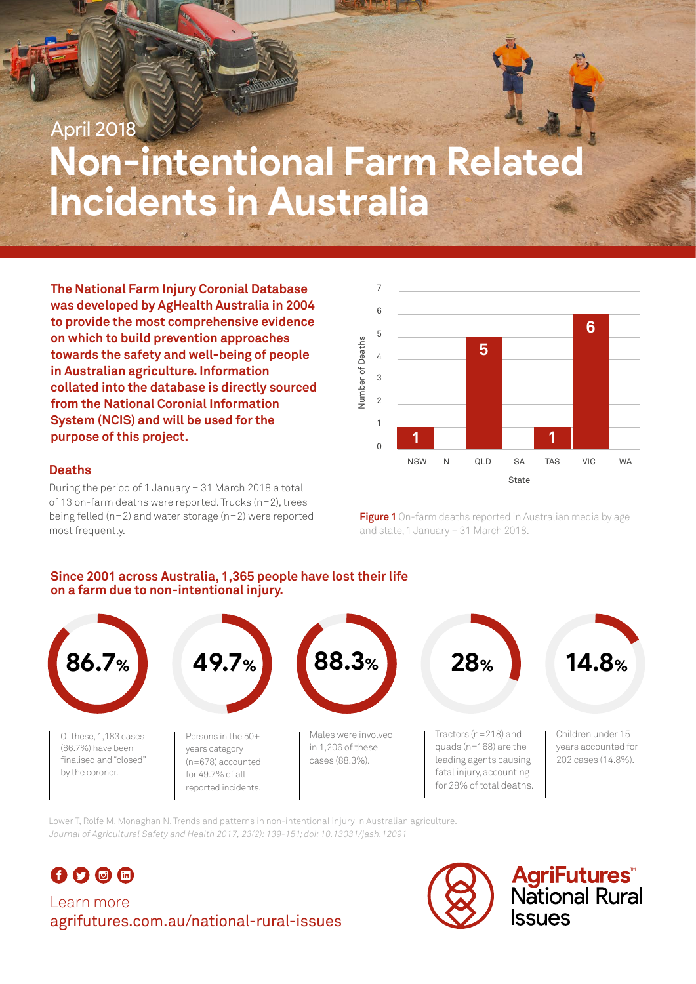# **Non-intentional Farm Related Incidents in Australia** April 2018

**The National Farm Injury Coronial Database was developed by AgHealth Australia in 2004 to provide the most comprehensive evidence on which to build prevention approaches towards the safety and well-being of people in Australian agriculture. Information collated into the database is directly sourced from the National Coronial Information System (NCIS) and will be used for the purpose of this project.**

#### **Deaths**

During the period of 1 January – 31 March 2018 a total of 13 on-farm deaths were reported. Trucks (n=2), trees being felled (n=2) and water storage (n=2) were reported most frequently.



**Figure 1** On-farm deaths reported in Australian media by age and state, 1 January – 31 March 2018.

#### **Since 2001 across Australia, 1,365 people have lost their life on a farm due to non-intentional injury.**



Lower T, Rolfe M, Monaghan N. Trends and patterns in non-intentional injury in Australian agriculture. Journal of Agricultural Safety and Health 2017, 23(2): 139-151; doi: 10.13031/jash.12091



# Learn more agrifutures.com.au/national-rural-issues



**AgriFutures**<br>National Rural **SSUBS**